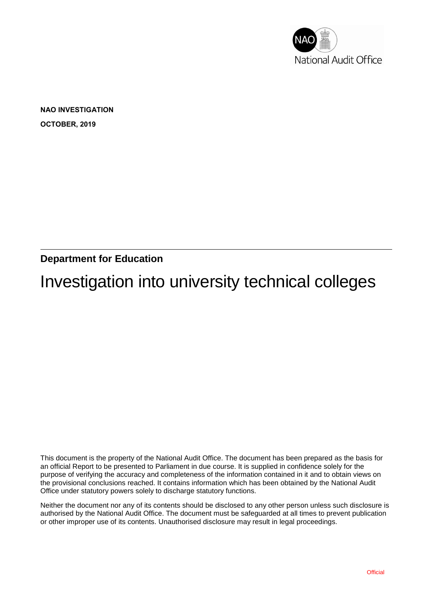

**NAO INVESTIGATION OCTOBER, 2019**

**Department for Education**

Investigation into university technical colleges

This document is the property of the National Audit Office. The document has been prepared as the basis for an official Report to be presented to Parliament in due course. It is supplied in confidence solely for the purpose of verifying the accuracy and completeness of the information contained in it and to obtain views on the provisional conclusions reached. It contains information which has been obtained by the National Audit Office under statutory powers solely to discharge statutory functions.

Neither the document nor any of its contents should be disclosed to any other person unless such disclosure is authorised by the National Audit Office. The document must be safeguarded at all times to prevent publication or other improper use of its contents. Unauthorised disclosure may result in legal proceedings.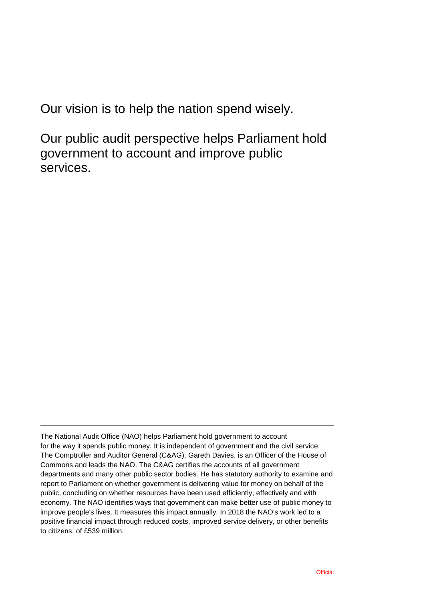Our vision is to help the nation spend wisely.

Our public audit perspective helps Parliament hold government to account and improve public services.

The National Audit Office (NAO) helps Parliament hold government to account for the way it spends public money. It is independent of government and the civil service. The Comptroller and Auditor General (C&AG), Gareth Davies, is an Officer of the House of Commons and leads the NAO. The C&AG certifies the accounts of all government departments and many other public sector bodies. He has statutory authority to examine and report to Parliament on whether government is delivering value for money on behalf of the public, concluding on whether resources have been used efficiently, effectively and with economy. The NAO identifies ways that government can make better use of public money to improve people's lives. It measures this impact annually. In 2018 the NAO's work led to a positive financial impact through reduced costs, improved service delivery, or other benefits to citizens, of £539 million.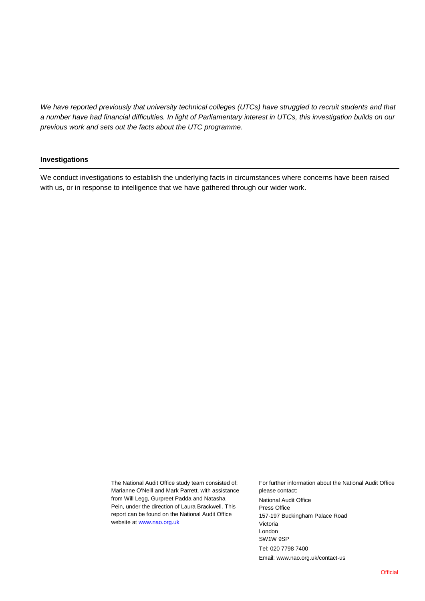*We have reported previously that university technical colleges (UTCs) have struggled to recruit students and that a number have had financial difficulties. In light of Parliamentary interest in UTCs, this investigation builds on our previous work and sets out the facts about the UTC programme.*

#### **Investigations**

We conduct investigations to establish the underlying facts in circumstances where concerns have been raised with us, or in response to intelligence that we have gathered through our wider work.

> The National Audit Office study team consisted of: Marianne O'Neill and Mark Parrett, with assistance from Will Legg, Gurpreet Padda and Natasha Pein, under the direction of Laura Brackwell. This report can be found on the National Audit Office website at [www.nao.org.uk](http://www.nao.org.uk/)

For further information about the National Audit Office please contact: National Audit Office Press Office 157-197 Buckingham Palace Road Victoria London SW1W 9SP Tel: 020 7798 7400 Email: www.nao.org.uk/contact-us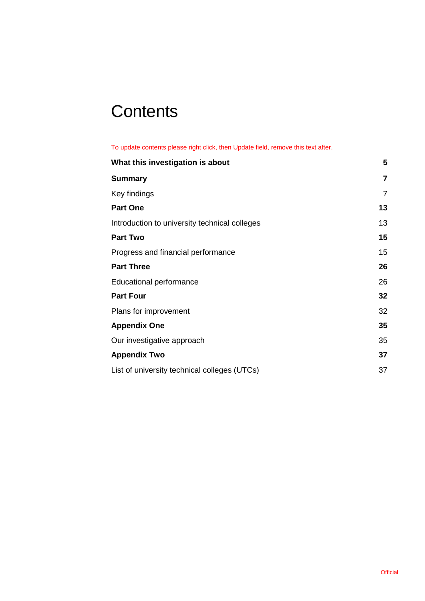# **Contents**

To update contents please right click, then Update field, remove this text after.

| What this investigation is about              | 5              |
|-----------------------------------------------|----------------|
| <b>Summary</b>                                | $\overline{7}$ |
| Key findings                                  | $\overline{7}$ |
| <b>Part One</b>                               | 13             |
| Introduction to university technical colleges | 13             |
| <b>Part Two</b>                               | 15             |
| Progress and financial performance            | 15             |
| <b>Part Three</b>                             | 26             |
| <b>Educational performance</b>                | 26             |
| <b>Part Four</b>                              | 32             |
| Plans for improvement                         | 32             |
| <b>Appendix One</b>                           | 35             |
| Our investigative approach                    | 35             |
| <b>Appendix Two</b>                           | 37             |
| List of university technical colleges (UTCs)  | 37             |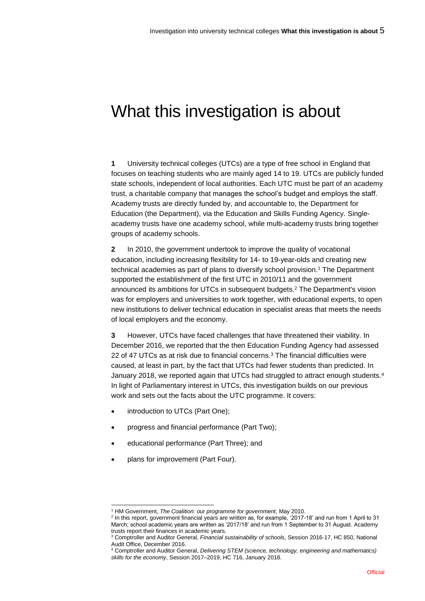## What this investigation is about

**1** University technical colleges (UTCs) are a type of free school in England that focuses on teaching students who are mainly aged 14 to 19. UTCs are publicly funded state schools, independent of local authorities. Each UTC must be part of an academy trust, a charitable company that manages the school's budget and employs the staff. Academy trusts are directly funded by, and accountable to, the Department for Education (the Department), via the Education and Skills Funding Agency. Singleacademy trusts have one academy school, while multi-academy trusts bring together groups of academy schools.

**2** In 2010, the government undertook to improve the quality of vocational education, including increasing flexibility for 14- to 19-year-olds and creating new technical academies as part of plans to diversify school provision.<sup>1</sup> The Department supported the establishment of the first UTC in 2010/11 and the government announced its ambitions for UTCs in subsequent budgets. <sup>2</sup> The Department's vision was for employers and universities to work together, with educational experts, to open new institutions to deliver technical education in specialist areas that meets the needs of local employers and the economy.

**3** However, UTCs have faced challenges that have threatened their viability. In December 2016, we reported that the then Education Funding Agency had assessed 22 of 47 UTCs as at risk due to financial concerns. <sup>3</sup> The financial difficulties were caused, at least in part, by the fact that UTCs had fewer students than predicted. In January 2018, we reported again that UTCs had struggled to attract enough students.<sup>4</sup> In light of Parliamentary interest in UTCs, this investigation builds on our previous work and sets out the facts about the UTC programme. It covers:

- introduction to UTCs (Part One);
- progress and financial performance (Part Two);
- educational performance (Part Three); and
- plans for improvement (Part Four).

l <sup>1</sup> HM Government, *The Coalition: our programme for government*, May 2010.

<sup>2</sup> In this report, government financial years are written as, for example, '2017-18' and run from 1 April to 31 March; school academic years are written as '2017/18' and run from 1 September to 31 August. Academy trusts report their finances in academic years.

<sup>3</sup> Comptroller and Auditor General, *Financial sustainability of schools*, Session 2016-17, HC 850, National Audit Office, December 2016.

<sup>4</sup> Comptroller and Auditor General, *Delivering STEM (science, technology, engineering and mathematics) skills for the economy*, Session 2017–2019, HC 716, January 2018.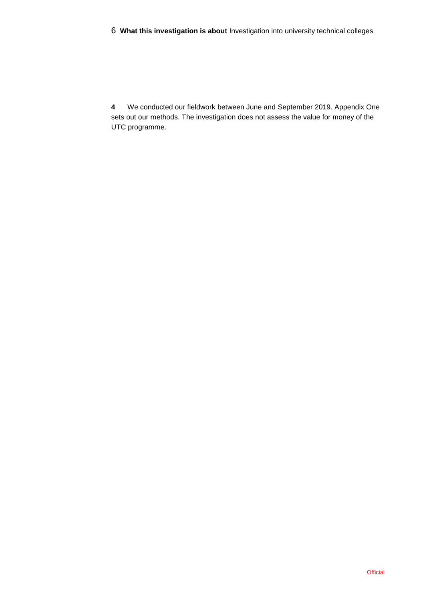**4** We conducted our fieldwork between June and September 2019. Appendix One sets out our methods. The investigation does not assess the value for money of the UTC programme.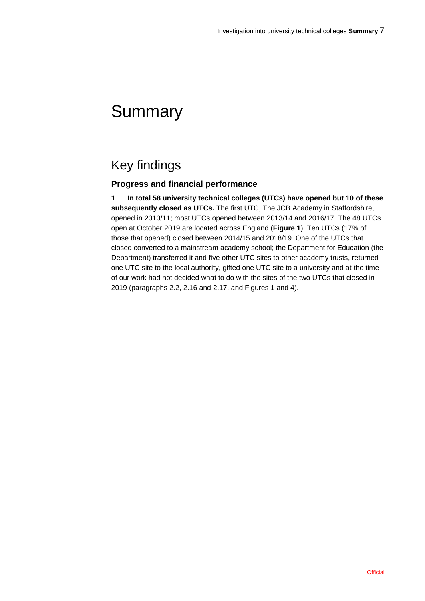## **Summary**

## Key findings

## **Progress and financial performance**

**1 In total 58 university technical colleges (UTCs) have opened but 10 of these subsequently closed as UTCs.** The first UTC, The JCB Academy in Staffordshire, opened in 2010/11; most UTCs opened between 2013/14 and 2016/17. The 48 UTCs open at October 2019 are located across England (**Figure 1**). Ten UTCs (17% of those that opened) closed between 2014/15 and 2018/19. One of the UTCs that closed converted to a mainstream academy school; the Department for Education (the Department) transferred it and five other UTC sites to other academy trusts, returned one UTC site to the local authority, gifted one UTC site to a university and at the time of our work had not decided what to do with the sites of the two UTCs that closed in 2019 (paragraphs 2.2, 2.16 and 2.17, and Figures 1 and 4).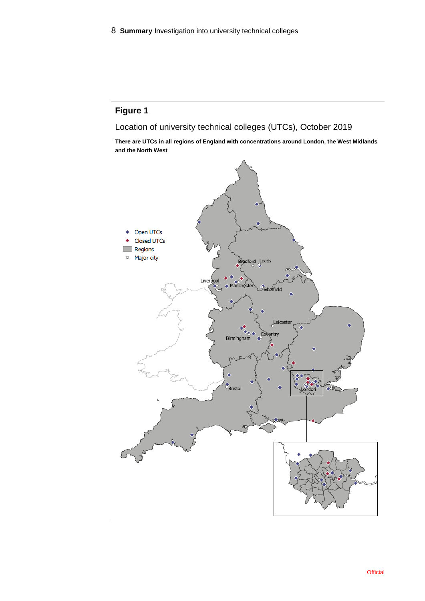Location of university technical colleges (UTCs), October 2019

**There are UTCs in all regions of England with concentrations around London, the West Midlands and the North West**

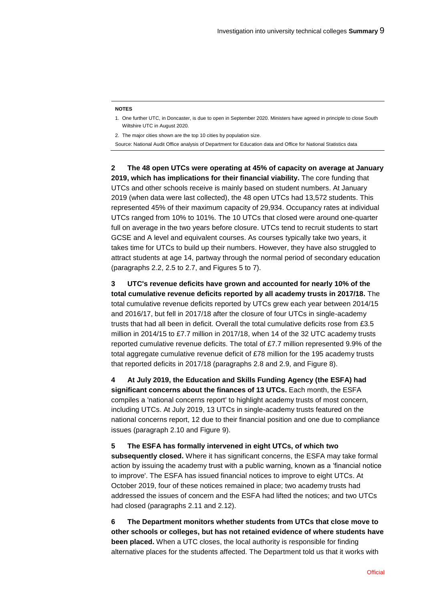#### **NOTES**

- 1. One further UTC, in Doncaster, is due to open in September 2020. Ministers have agreed in principle to close South Wiltshire UTC in August 2020.
- 2. The major cities shown are the top 10 cities by population size.
- Source: National Audit Office analysis of Department for Education data and Office for National Statistics data

**2 The 48 open UTCs were operating at 45% of capacity on average at January 2019, which has implications for their financial viability.** The core funding that UTCs and other schools receive is mainly based on student numbers. At January 2019 (when data were last collected), the 48 open UTCs had 13,572 students. This represented 45% of their maximum capacity of 29,934. Occupancy rates at individual UTCs ranged from 10% to 101%. The 10 UTCs that closed were around one-quarter full on average in the two years before closure. UTCs tend to recruit students to start GCSE and A level and equivalent courses. As courses typically take two years, it takes time for UTCs to build up their numbers. However, they have also struggled to attract students at age 14, partway through the normal period of secondary education (paragraphs 2.2, 2.5 to 2.7, and Figures 5 to 7).

**3 UTC's revenue deficits have grown and accounted for nearly 10% of the total cumulative revenue deficits reported by all academy trusts in 2017/18.** The total cumulative revenue deficits reported by UTCs grew each year between 2014/15 and 2016/17, but fell in 2017/18 after the closure of four UTCs in single-academy trusts that had all been in deficit. Overall the total cumulative deficits rose from £3.5 million in 2014/15 to £7.7 million in 2017/18, when 14 of the 32 UTC academy trusts reported cumulative revenue deficits. The total of £7.7 million represented 9.9% of the total aggregate cumulative revenue deficit of £78 million for the 195 academy trusts that reported deficits in 2017/18 (paragraphs 2.8 and 2.9, and Figure 8).

**4 At July 2019, the Education and Skills Funding Agency (the ESFA) had significant concerns about the finances of 13 UTCs.** Each month, the ESFA compiles a 'national concerns report' to highlight academy trusts of most concern, including UTCs. At July 2019, 13 UTCs in single-academy trusts featured on the national concerns report, 12 due to their financial position and one due to compliance issues (paragraph 2.10 and Figure 9).

**5 The ESFA has formally intervened in eight UTCs, of which two subsequently closed.** Where it has significant concerns, the ESFA may take formal action by issuing the academy trust with a public warning, known as a 'financial notice to improve'. The ESFA has issued financial notices to improve to eight UTCs. At October 2019, four of these notices remained in place; two academy trusts had addressed the issues of concern and the ESFA had lifted the notices; and two UTCs had closed (paragraphs 2.11 and 2.12).

**6 The Department monitors whether students from UTCs that close move to other schools or colleges, but has not retained evidence of where students have been placed.** When a UTC closes, the local authority is responsible for finding alternative places for the students affected. The Department told us that it works with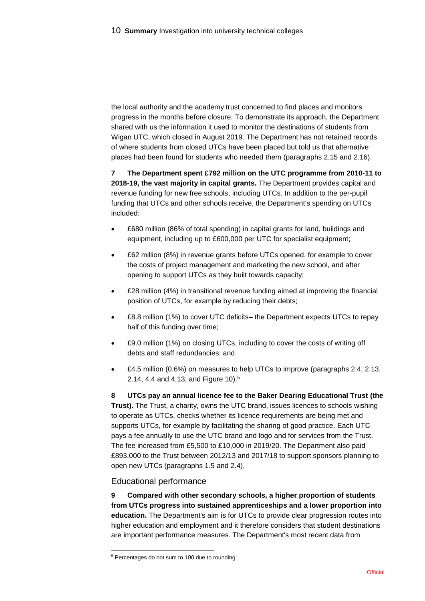the local authority and the academy trust concerned to find places and monitors progress in the months before closure. To demonstrate its approach, the Department shared with us the information it used to monitor the destinations of students from Wigan UTC, which closed in August 2019. The Department has not retained records of where students from closed UTCs have been placed but told us that alternative places had been found for students who needed them (paragraphs 2.15 and 2.16).

**7 The Department spent £792 million on the UTC programme from 2010-11 to 2018-19, the vast majority in capital grants.** The Department provides capital and revenue funding for new free schools, including UTCs. In addition to the per-pupil funding that UTCs and other schools receive, the Department's spending on UTCs included:

- £680 million (86% of total spending) in capital grants for land, buildings and equipment, including up to £600,000 per UTC for specialist equipment;
- £62 million (8%) in revenue grants before UTCs opened, for example to cover the costs of project management and marketing the new school, and after opening to support UTCs as they built towards capacity;
- £28 million (4%) in transitional revenue funding aimed at improving the financial position of UTCs, for example by reducing their debts;
- £8.8 million (1%) to cover UTC deficits– the Department expects UTCs to repay half of this funding over time;
- £9.0 million (1%) on closing UTCs, including to cover the costs of writing off debts and staff redundancies; and
- £4.5 million (0.6%) on measures to help UTCs to improve (paragraphs 2.4, 2.13, 2.14, 4.4 and 4.13, and Figure 10). 5

**8 UTCs pay an annual licence fee to the Baker Dearing Educational Trust (the Trust).** The Trust, a charity, owns the UTC brand, issues licences to schools wishing to operate as UTCs, checks whether its licence requirements are being met and supports UTCs, for example by facilitating the sharing of good practice. Each UTC pays a fee annually to use the UTC brand and logo and for services from the Trust. The fee increased from £5,500 to £10,000 in 2019/20. The Department also paid £893,000 to the Trust between 2012/13 and 2017/18 to support sponsors planning to open new UTCs (paragraphs 1.5 and 2.4).

### Educational performance

**9 Compared with other secondary schools, a higher proportion of students from UTCs progress into sustained apprenticeships and a lower proportion into education.** The Department's aim is for UTCs to provide clear progression routes into higher education and employment and it therefore considers that student destinations are important performance measures. The Department's most recent data from

l <sup>5</sup> Percentages do not sum to 100 due to rounding.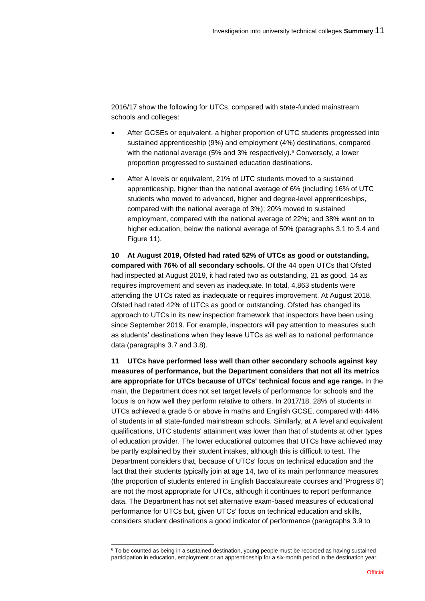2016/17 show the following for UTCs, compared with state-funded mainstream schools and colleges:

- After GCSEs or equivalent, a higher proportion of UTC students progressed into sustained apprenticeship (9%) and employment (4%) destinations, compared with the national average (5% and 3% respectively).<sup>6</sup> Conversely, a lower proportion progressed to sustained education destinations.
- After A levels or equivalent, 21% of UTC students moved to a sustained apprenticeship, higher than the national average of 6% (including 16% of UTC students who moved to advanced, higher and degree-level apprenticeships, compared with the national average of 3%); 20% moved to sustained employment, compared with the national average of 22%; and 38% went on to higher education, below the national average of 50% (paragraphs 3.1 to 3.4 and Figure 11).

**10 At August 2019, Ofsted had rated 52% of UTCs as good or outstanding, compared with 76% of all secondary schools.** Of the 44 open UTCs that Ofsted had inspected at August 2019, it had rated two as outstanding, 21 as good, 14 as requires improvement and seven as inadequate. In total, 4,863 students were attending the UTCs rated as inadequate or requires improvement. At August 2018, Ofsted had rated 42% of UTCs as good or outstanding. Ofsted has changed its approach to UTCs in its new inspection framework that inspectors have been using since September 2019. For example, inspectors will pay attention to measures such as students' destinations when they leave UTCs as well as to national performance data (paragraphs 3.7 and 3.8).

**11 UTCs have performed less well than other secondary schools against key measures of performance, but the Department considers that not all its metrics are appropriate for UTCs because of UTCs' technical focus and age range.** In the main, the Department does not set target levels of performance for schools and the focus is on how well they perform relative to others. In 2017/18, 28% of students in UTCs achieved a grade 5 or above in maths and English GCSE, compared with 44% of students in all state-funded mainstream schools. Similarly, at A level and equivalent qualifications, UTC students' attainment was lower than that of students at other types of education provider. The lower educational outcomes that UTCs have achieved may be partly explained by their student intakes, although this is difficult to test. The Department considers that, because of UTCs' focus on technical education and the fact that their students typically join at age 14, two of its main performance measures (the proportion of students entered in English Baccalaureate courses and 'Progress 8') are not the most appropriate for UTCs, although it continues to report performance data. The Department has not set alternative exam-based measures of educational performance for UTCs but, given UTCs' focus on technical education and skills, considers student destinations a good indicator of performance (paragraphs 3.9 to

l

<sup>6</sup> To be counted as being in a sustained destination, young people must be recorded as having sustained participation in education, employment or an apprenticeship for a six-month period in the destination year.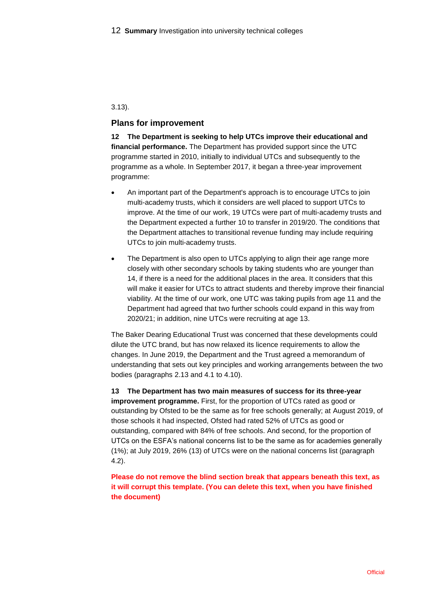#### 3.13).

#### **Plans for improvement**

**12 The Department is seeking to help UTCs improve their educational and financial performance.** The Department has provided support since the UTC programme started in 2010, initially to individual UTCs and subsequently to the programme as a whole. In September 2017, it began a three-year improvement programme:

- An important part of the Department's approach is to encourage UTCs to join multi-academy trusts, which it considers are well placed to support UTCs to improve. At the time of our work, 19 UTCs were part of multi-academy trusts and the Department expected a further 10 to transfer in 2019/20. The conditions that the Department attaches to transitional revenue funding may include requiring UTCs to join multi-academy trusts.
- The Department is also open to UTCs applying to align their age range more closely with other secondary schools by taking students who are younger than 14, if there is a need for the additional places in the area. It considers that this will make it easier for UTCs to attract students and thereby improve their financial viability. At the time of our work, one UTC was taking pupils from age 11 and the Department had agreed that two further schools could expand in this way from 2020/21; in addition, nine UTCs were recruiting at age 13.

The Baker Dearing Educational Trust was concerned that these developments could dilute the UTC brand, but has now relaxed its licence requirements to allow the changes. In June 2019, the Department and the Trust agreed a memorandum of understanding that sets out key principles and working arrangements between the two bodies (paragraphs 2.13 and 4.1 to 4.10).

**13 The Department has two main measures of success for its three-year improvement programme.** First, for the proportion of UTCs rated as good or outstanding by Ofsted to be the same as for free schools generally; at August 2019, of those schools it had inspected, Ofsted had rated 52% of UTCs as good or outstanding, compared with 84% of free schools. And second, for the proportion of UTCs on the ESFA's national concerns list to be the same as for academies generally (1%); at July 2019, 26% (13) of UTCs were on the national concerns list (paragraph 4.2).

**Please do not remove the blind section break that appears beneath this text, as it will corrupt this template. (You can delete this text, when you have finished the document)**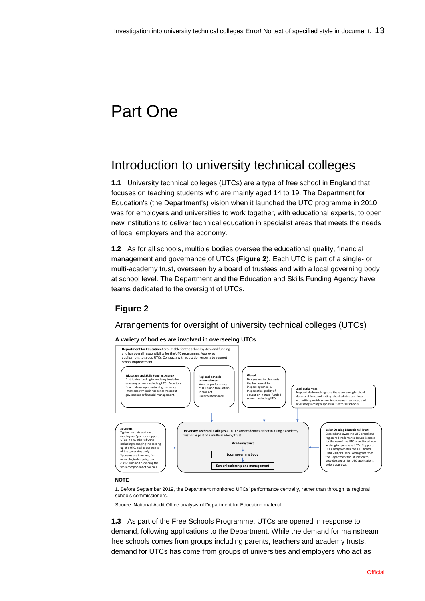# Part One

## Introduction to university technical colleges

**1.1** University technical colleges (UTCs) are a type of free school in England that focuses on teaching students who are mainly aged 14 to 19. The Department for Education's (the Department's) vision when it launched the UTC programme in 2010 was for employers and universities to work together, with educational experts, to open new institutions to deliver technical education in specialist areas that meets the needs of local employers and the economy.

**1.2** As for all schools, multiple bodies oversee the educational quality, financial management and governance of UTCs (**Figure 2**). Each UTC is part of a single- or multi-academy trust, overseen by a board of trustees and with a local governing body at school level. The Department and the Education and Skills Funding Agency have teams dedicated to the oversight of UTCs.

## **Figure 2**

Arrangements for oversight of university technical colleges (UTCs)

#### **A variety of bodies are involved in overseeing UTCs**



#### **NOTE**

1. Before September 2019, the Department monitored UTCs' performance centrally, rather than through its regional schools commissioners.

Source: National Audit Office analysis of Department for Education material

**1.3** As part of the Free Schools Programme, UTCs are opened in response to demand, following applications to the Department. While the demand for mainstream free schools comes from groups including parents, teachers and academy trusts,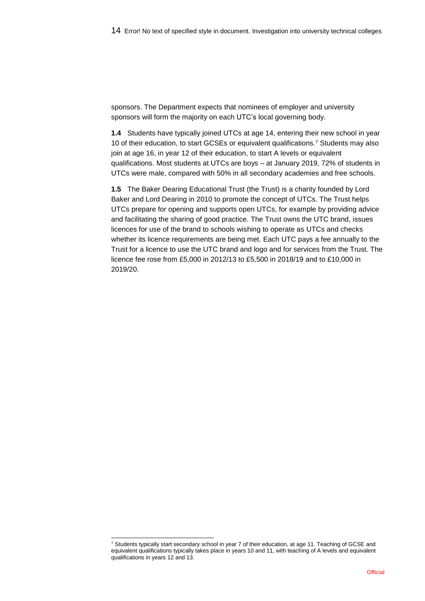sponsors. The Department expects that nominees of employer and university sponsors will form the majority on each UTC's local governing body.

**1.4** Students have typically joined UTCs at age 14, entering their new school in year 10 of their education, to start GCSEs or equivalent qualifications.<sup>7</sup> Students may also join at age 16, in year 12 of their education, to start A levels or equivalent qualifications. Most students at UTCs are boys – at January 2019, 72% of students in UTCs were male, compared with 50% in all secondary academies and free schools.

**1.5** The Baker Dearing Educational Trust (the Trust) is a charity founded by Lord Baker and Lord Dearing in 2010 to promote the concept of UTCs. The Trust helps UTCs prepare for opening and supports open UTCs, for example by providing advice and facilitating the sharing of good practice. The Trust owns the UTC brand, issues licences for use of the brand to schools wishing to operate as UTCs and checks whether its licence requirements are being met. Each UTC pays a fee annually to the Trust for a licence to use the UTC brand and logo and for services from the Trust. The licence fee rose from £5,000 in 2012/13 to £5,500 in 2018/19 and to £10,000 in 2019/20.

l

<sup>7</sup> Students typically start secondary school in year 7 of their education, at age 11. Teaching of GCSE and equivalent qualifications typically takes place in years 10 and 11, with teaching of A levels and equivalent qualifications in years 12 and 13.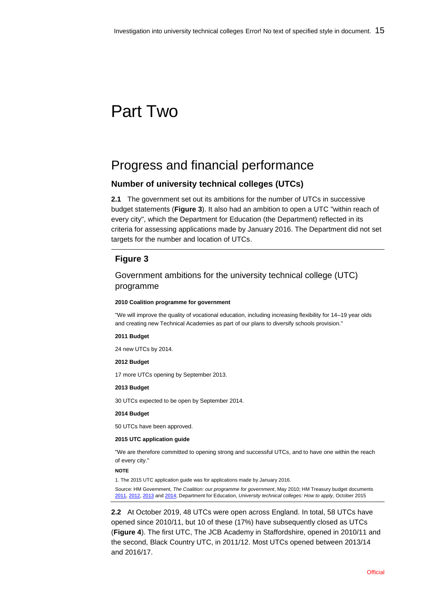# Part Two

## Progress and financial performance

## **Number of university technical colleges (UTCs)**

**2.1** The government set out its ambitions for the number of UTCs in successive budget statements (**Figure 3**). It also had an ambition to open a UTC "within reach of every city", which the Department for Education (the Department) reflected in its criteria for assessing applications made by January 2016. The Department did not set targets for the number and location of UTCs.

## **Figure 3**

### Government ambitions for the university technical college (UTC) programme

#### **2010 Coalition programme for government**

"We will improve the quality of vocational education, including increasing flexibility for 14–19 year olds and creating new Technical Academies as part of our plans to diversify schools provision."

#### **2011 Budget**

24 new UTCs by 2014.

#### **2012 Budget**

17 more UTCs opening by September 2013.

#### **2013 Budget**

30 UTCs expected to be open by September 2014.

#### **2014 Budget**

50 UTCs have been approved.

#### **2015 UTC application guide**

"We are therefore committed to opening strong and successful UTCs, and to have one within the reach of every city."

#### **NOTE**

1. The 2015 UTC application guide was for applications made by January 2016.

Source: HM Government, *[The Coalition: our programme for government](https://assets.publishing.service.gov.uk/government/uploads/system/uploads/attachment_data/file/78977/coalition_programme_for_government.pdf)*, May 2010; HM Treasury budget documents [2011,](https://assets.publishing.service.gov.uk/government/uploads/system/uploads/attachment_data/file/247483/0836.pdf) [2012,](https://assets.publishing.service.gov.uk/government/uploads/system/uploads/attachment_data/file/247119/1853.pdf) [2013](https://assets.publishing.service.gov.uk/government/uploads/system/uploads/attachment_data/file/221885/budget2013_complete.pdf) an[d 2014;](https://assets.publishing.service.gov.uk/government/uploads/system/uploads/attachment_data/file/293759/37630_Budget_2014_Web_Accessible.pdf) Department for Education, *University technical colleges: How to apply*, October 2015

**2.2** At October 2019, 48 UTCs were open across England. In total, 58 UTCs have opened since 2010/11, but 10 of these (17%) have subsequently closed as UTCs (**Figure 4**). The first UTC, The JCB Academy in Staffordshire, opened in 2010/11 and the second, Black Country UTC, in 2011/12. Most UTCs opened between 2013/14 and 2016/17.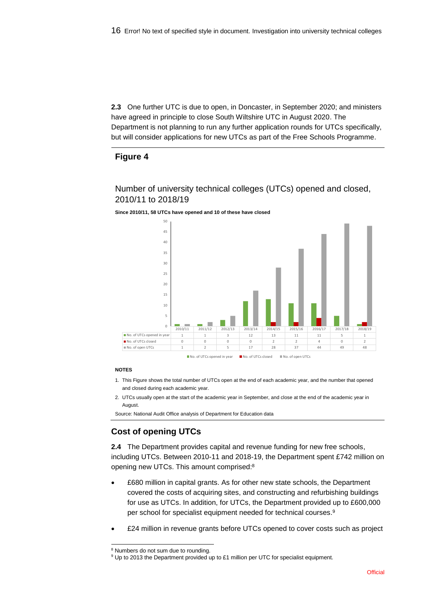**2.3** One further UTC is due to open, in Doncaster, in September 2020; and ministers have agreed in principle to close South Wiltshire UTC in August 2020. The Department is not planning to run any further application rounds for UTCs specifically, but will consider applications for new UTCs as part of the Free Schools Programme.

### **Figure 4**

Number of university technical colleges (UTCs) opened and closed, 2010/11 to 2018/19





#### **NOTES**

l

- 1. This Figure shows the total number of UTCs open at the end of each academic year, and the number that opened and closed during each academic year.
- 2. UTCs usually open at the start of the academic year in September, and close at the end of the academic year in August.

Source: National Audit Office analysis of Department for Education data

## **Cost of opening UTCs**

**2.4** The Department provides capital and revenue funding for new free schools, including UTCs. Between 2010-11 and 2018-19, the Department spent £742 million on opening new UTCs. This amount comprised:<sup>8</sup>

- £680 million in capital grants. As for other new state schools, the Department covered the costs of acquiring sites, and constructing and refurbishing buildings for use as UTCs. In addition, for UTCs, the Department provided up to £600,000 per school for specialist equipment needed for technical courses. 9
- £24 million in revenue grants before UTCs opened to cover costs such as project

<sup>8</sup> Numbers do not sum due to rounding.

<sup>&</sup>lt;sup>9</sup> Up to 2013 the Department provided up to £1 million per UTC for specialist equipment.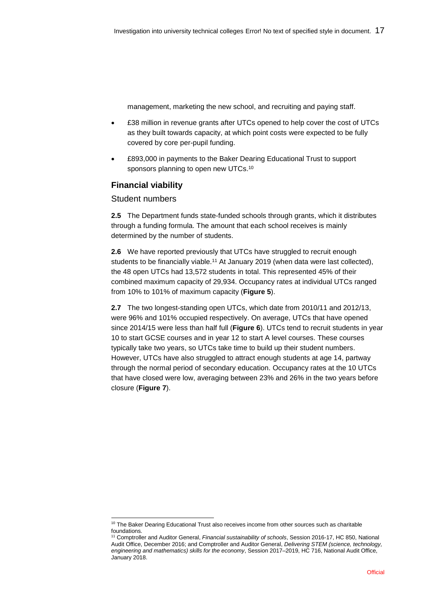management, marketing the new school, and recruiting and paying staff.

- £38 million in revenue grants after UTCs opened to help cover the cost of UTCs as they built towards capacity, at which point costs were expected to be fully covered by core per-pupil funding.
- £893,000 in payments to the Baker Dearing Educational Trust to support sponsors planning to open new UTCs.<sup>10</sup>

## **Financial viability**

### Student numbers

**2.5** The Department funds state-funded schools through grants, which it distributes through a funding formula. The amount that each school receives is mainly determined by the number of students.

**2.6** We have reported previously that UTCs have struggled to recruit enough students to be financially viable.<sup>11</sup> At January 2019 (when data were last collected), the 48 open UTCs had 13,572 students in total. This represented 45% of their combined maximum capacity of 29,934. Occupancy rates at individual UTCs ranged from 10% to 101% of maximum capacity (**Figure 5**).

**2.7** The two longest-standing open UTCs, which date from 2010/11 and 2012/13, were 96% and 101% occupied respectively. On average, UTCs that have opened since 2014/15 were less than half full (**Figure 6**). UTCs tend to recruit students in year 10 to start GCSE courses and in year 12 to start A level courses. These courses typically take two years, so UTCs take time to build up their student numbers. However, UTCs have also struggled to attract enough students at age 14, partway through the normal period of secondary education. Occupancy rates at the 10 UTCs that have closed were low, averaging between 23% and 26% in the two years before closure (**Figure 7**).

l <sup>10</sup> The Baker Dearing Educational Trust also receives income from other sources such as charitable foundations.

<sup>11</sup> Comptroller and Auditor General, *Financial sustainability of schools*, Session 2016-17, HC 850, National Audit Office, December 2016; and Comptroller and Auditor General, *Delivering STEM (science, technology, engineering and mathematics) skills for the economy*, Session 2017–2019, HC 716, National Audit Office, January 2018.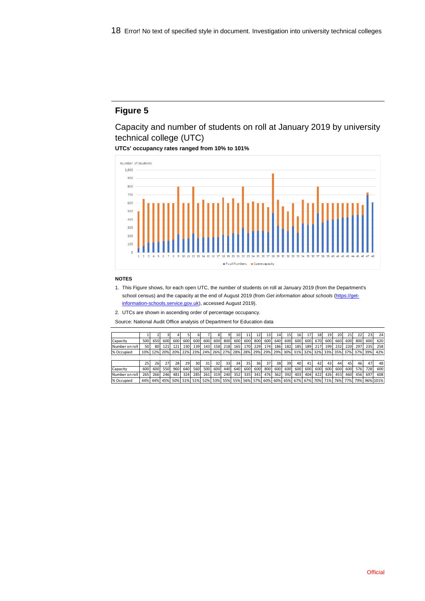Capacity and number of students on roll at January 2019 by university technical college (UTC)

**UTCs' occupancy rates ranged from 10% to 101%**



#### **NOTES**

1. This Figure shows, for each open UTC, the number of students on roll at January 2019 (from the Department's school census) and the capacity at the end of August 2019 (from *Get information about schools* [\(https://get](https://get-information-schools.service.gov.uk/)[information-schools.service.gov.uk\),](https://get-information-schools.service.gov.uk/) accessed August 2019).

2. UTCs are shown in ascending order of percentage occupancy.

Source: National Audit Office analysis of Department for Education data

|                |     |     |     |      |      |     |     |     | a   | 10  | 11  | 12  | 13  | 14  | 15  | 16  | 17      | 18  | 19  | 20  |     | 22  | 23  | 24       |
|----------------|-----|-----|-----|------|------|-----|-----|-----|-----|-----|-----|-----|-----|-----|-----|-----|---------|-----|-----|-----|-----|-----|-----|----------|
| Capacity       | 500 | 650 | 600 | 600l | 600  | 600 | 600 | 600 | 800 | 600 | 600 | 800 | 600 | 640 | 600 | 600 | 600     | 670 | 600 | 660 | 600 | 800 | 600 | 620      |
| Number on roll | 50  | 80  | 121 | 121  | 130l | 139 | 143 | 158 | 218 | 165 | 170 | 229 | 174 | 186 | 182 | 185 | 189     | 217 | 199 | 232 | 220 | 297 | 235 | 258      |
| % Occupied     | 10% | 12% | 20% | 20%  | 22%  | 23% | 24% | 26% | 27% | 28% | 28% | 29% | 29% | 29% | 30% | 31% | 32%     | 32% | 33% | 35% | 37% | 37% | 39% | 42%      |
|                |     |     |     |      |      |     |     |     |     |     |     |     |     |     |     |     |         |     |     |     |     |     |     |          |
|                | 25  | 26  | 27  | 28   | 29   | 30  | 31  | 32  | 33  | 34  | 35  | 36  | 37  | 38  | 39  | 40  | 41      | 42  | 43  | 44  | 45  | 46  | 47  | 48       |
| Capacity       | 600 | 600 | 550 | 960  | 640  | 560 | 500 | 600 | 440 | 640 | 600 | 600 | 800 | 600 | 600 | 600 | 600     | 600 | 600 | 600 | 600 | 576 | 728 | 600      |
| Number on roll | 265 | 266 | 246 | 481  | 324  | 285 | 261 | 319 | 240 | 352 | 335 | 341 | 476 | 362 | 392 | 403 | 404     | 422 | 426 | 453 | 460 | 456 | 697 | 608      |
| % Occupied     | 44% | 44% | 45% | 50%  | 51%  | 51% | 52% | 53% | 55% | 55% | 56% | 57% | 60% | 60% | 65% |     | 67% 67% | 70% | 71% | 76% | 77% | 79% |     | 96% 101% |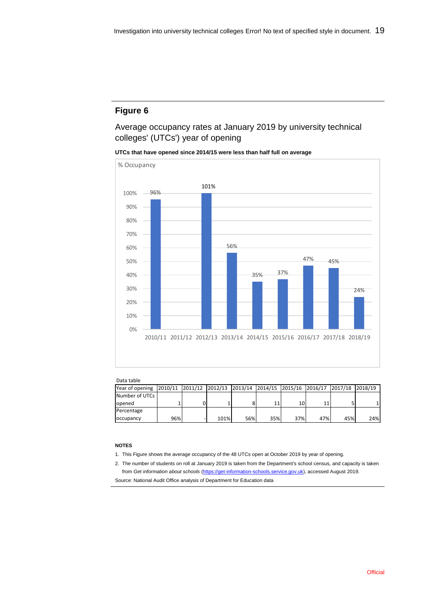Average occupancy rates at January 2019 by university technical colleges' (UTCs') year of opening

**UTCs that have opened since 2014/15 were less than half full on average**



#### Data table

| Dutu tubit                                                                                       |     |      |     |     |     |     |     |     |
|--------------------------------------------------------------------------------------------------|-----|------|-----|-----|-----|-----|-----|-----|
| Year of opening  2010/11  2011/12  2012/13  2013/14  2014/15  2015/16  2016/17  2017/18  2018/19 |     |      |     |     |     |     |     |     |
| Number of UTCs                                                                                   |     |      |     |     |     |     |     |     |
| opened                                                                                           |     |      |     |     | 10  |     |     |     |
| Percentage                                                                                       |     |      |     |     |     |     |     |     |
| occupancy                                                                                        | 96% | 101% | 56% | 35% | 37% | 47% | 45% | 24% |

#### **NOTES**

- 1. This Figure shows the average occupancy of the 48 UTCs open at October 2019 by year of opening.
- 2. The number of students on roll at January 2019 is taken from the Department's school census, and capacity is taken from *Get information about schools* [\(https://get-information-schools.service.gov.uk\)](https://get-information-schools.service.gov.uk/), accessed August 2019. Source: National Audit Office analysis of Department for Education data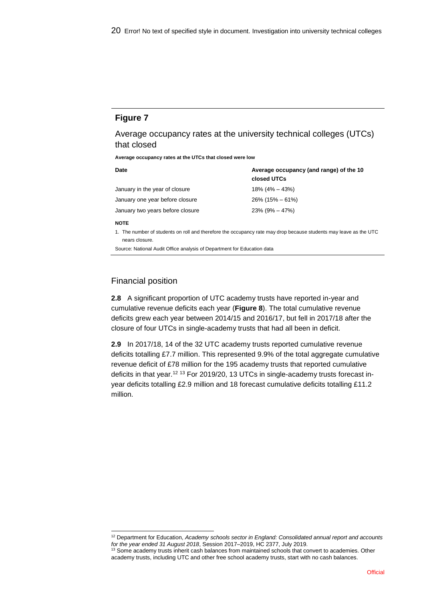Average occupancy rates at the university technical colleges (UTCs) that closed

**Average occupancy rates at the UTCs that closed were low**

| Date                             | Average occupancy (and range) of the 10<br>closed UTCs |
|----------------------------------|--------------------------------------------------------|
| January in the year of closure   | $18\%$ (4% – 43%)                                      |
| January one year before closure  | $26\%$ (15% – 61%)                                     |
| January two years before closure | $23\%$ (9% – 47%)                                      |
| <b>NOTE</b>                      |                                                        |

1. The number of students on roll and therefore the occupancy rate may drop because students may leave as the UTC nears closure.

Source: National Audit Office analysis of Department for Education data

### Financial position

**2.8** A significant proportion of UTC academy trusts have reported in-year and cumulative revenue deficits each year (**Figure 8**). The total cumulative revenue deficits grew each year between 2014/15 and 2016/17, but fell in 2017/18 after the closure of four UTCs in single-academy trusts that had all been in deficit.

**2.9** In 2017/18, 14 of the 32 UTC academy trusts reported cumulative revenue deficits totalling £7.7 million. This represented 9.9% of the total aggregate cumulative revenue deficit of £78 million for the 195 academy trusts that reported cumulative deficits in that year.<sup>12</sup> <sup>13</sup> For 2019/20, 13 UTCs in single-academy trusts forecast inyear deficits totalling £2.9 million and 18 forecast cumulative deficits totalling £11.2 million.

l <sup>12</sup> Department for Education, *Academy schools sector in England: Consolidated annual report and accounts for the year ended 31 August 2018*, Session 2017–2019, HC 2377, July 2019.

<sup>&</sup>lt;sup>13</sup> Some academy trusts inherit cash balances from maintained schools that convert to academies. Other academy trusts, including UTC and other free school academy trusts, start with no cash balances.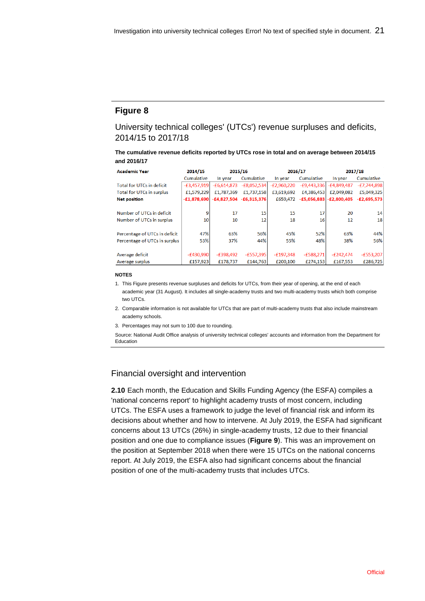University technical colleges' (UTCs') revenue surpluses and deficits, 2014/15 to 2017/18

**The cumulative revenue deficits reported by UTCs rose in total and on average between 2014/15 and 2016/17**

| <b>Academic Year</b>             | 2014/15       | 2015/16       |                           | 2016/17       |               |                           | 2017/18         |
|----------------------------------|---------------|---------------|---------------------------|---------------|---------------|---------------------------|-----------------|
|                                  | Cumulative    | In year       | Cumulative                | In year       | Cumulative    | In year                   | Cumulative      |
| <b>Total for UTCs in deficit</b> | $-E3,457,919$ | $-£6,614,873$ | $-E8,052,534$             | $-E2,960,220$ | $-E9,443,336$ | $-E4,849,487$             | $-E7,744,898$   |
| Total for UTCs in surplus        | £1,579,229    | £1,787,369    | £1,737,158                | £3,619,692    | £4,386,453    | £2,049,082                | £5,049,325      |
| <b>Net position</b>              | $-E1,878,690$ |               | $-£4,827,504 -£6,315,376$ | £659.472      |               | $-E5,056,883$ -£2,800,405 | $-E2,695,573$   |
|                                  |               |               |                           |               |               |                           |                 |
| Number of UTCs in deficit        | ٩             | 17            | 15                        | 15            | 17            | 20                        | 14              |
| Number of UTCs in surplus        | 10            | 10            | 12                        | 18            | 16            | 12                        | 18 <sup>1</sup> |
|                                  |               |               |                           |               |               |                           |                 |
| Percentage of UTCs in deficit    | 47%           | 63%           | 56%                       | 45%           | 52%           | 63%                       | 44%             |
| Percentage of UTCs in surplus    | 53%           | 37%           | 44%                       | 55%           | 48%           | 38%                       | 56%             |
|                                  |               |               |                           |               |               |                           |                 |
| Average deficit                  | $-£430,990$   | $-E398,492$   | $-E557,395$               | $-£197,348$   | $-£588,271$   | $-E242,474$               | $-£553,207$     |
| Average surplus                  | £157,923      | £178,737      | £144,763                  | £200,100      | £274,153      | £167,553                  | £286,725        |

#### **NOTES**

- 1. This Figure presents revenue surpluses and deficits for UTCs, from their year of opening, at the end of each academic year (31 August). It includes all single-academy trusts and two multi-academy trusts which both comprise two UTCs.
- 2. Comparable information is not available for UTCs that are part of multi-academy trusts that also include mainstream academy schools.
- 3. Percentages may not sum to 100 due to rounding.

Source: National Audit Office analysis of university technical colleges' accounts and information from the Department for Education

#### Financial oversight and intervention

**2.10** Each month, the Education and Skills Funding Agency (the ESFA) compiles a 'national concerns report' to highlight academy trusts of most concern, including UTCs. The ESFA uses a framework to judge the level of financial risk and inform its decisions about whether and how to intervene. At July 2019, the ESFA had significant concerns about 13 UTCs (26%) in single-academy trusts, 12 due to their financial position and one due to compliance issues (**Figure 9**). This was an improvement on the position at September 2018 when there were 15 UTCs on the national concerns report. At July 2019, the ESFA also had significant concerns about the financial position of one of the multi-academy trusts that includes UTCs.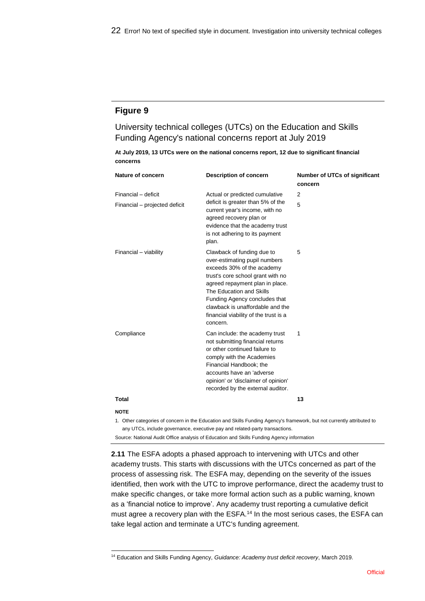University technical colleges (UTCs) on the Education and Skills Funding Agency's national concerns report at July 2019

|          | At July 2019, 13 UTCs were on the national concerns report, 12 due to significant financial |  |  |  |
|----------|---------------------------------------------------------------------------------------------|--|--|--|
| concerns |                                                                                             |  |  |  |

| Nature of concern             | <b>Description of concern</b>                                                                                                                                                                                                                                                                                           | Number of UTCs of significant<br>concern |
|-------------------------------|-------------------------------------------------------------------------------------------------------------------------------------------------------------------------------------------------------------------------------------------------------------------------------------------------------------------------|------------------------------------------|
| Financial - deficit           | Actual or predicted cumulative                                                                                                                                                                                                                                                                                          | 2                                        |
| Financial - projected deficit | deficit is greater than 5% of the<br>current year's income, with no<br>agreed recovery plan or<br>evidence that the academy trust<br>is not adhering to its payment<br>plan.                                                                                                                                            | 5                                        |
| Financial - viability         | Clawback of funding due to<br>over-estimating pupil numbers<br>exceeds 30% of the academy<br>trust's core school grant with no<br>agreed repayment plan in place.<br>The Education and Skills<br>Funding Agency concludes that<br>clawback is unaffordable and the<br>financial viability of the trust is a<br>concern. | 5                                        |
| Compliance                    | Can include: the academy trust<br>not submitting financial returns<br>or other continued failure to<br>comply with the Academies<br>Financial Handbook; the<br>accounts have an 'adverse<br>opinion' or 'disclaimer of opinion'<br>recorded by the external auditor.                                                    | 1                                        |
| <b>Total</b>                  |                                                                                                                                                                                                                                                                                                                         | 13                                       |
| <b>NOTE</b>                   |                                                                                                                                                                                                                                                                                                                         |                                          |
|                               | 1. Other categories of concern in the Education and Skills Funding Agency's framework, but not currently attributed to<br>any UTCs, include governance, executive pay and related-party transactions.                                                                                                                   |                                          |

Source: National Audit Office analysis of Education and Skills Funding Agency information

**2.11** The ESFA adopts a phased approach to intervening with UTCs and other academy trusts. This starts with discussions with the UTCs concerned as part of the process of assessing risk. The ESFA may, depending on the severity of the issues identified, then work with the UTC to improve performance, direct the academy trust to make specific changes, or take more formal action such as a public warning, known as a 'financial notice to improve'. Any academy trust reporting a cumulative deficit must agree a recovery plan with the ESFA.<sup>14</sup> In the most serious cases, the ESFA can take legal action and terminate a UTC's funding agreement.

l <sup>14</sup> Education and Skills Funding Agency, *Guidance: Academy trust deficit recovery*, March 2019.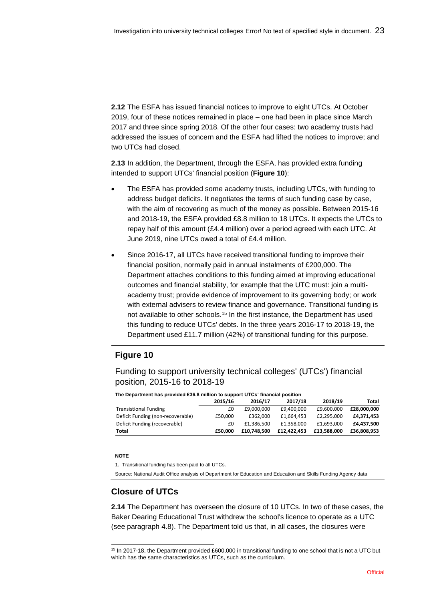**2.12** The ESFA has issued financial notices to improve to eight UTCs. At October 2019, four of these notices remained in place – one had been in place since March 2017 and three since spring 2018. Of the other four cases: two academy trusts had addressed the issues of concern and the ESFA had lifted the notices to improve; and two UTCs had closed.

**2.13** In addition, the Department, through the ESFA, has provided extra funding intended to support UTCs' financial position (**Figure 10**):

- The ESFA has provided some academy trusts, including UTCs, with funding to address budget deficits. It negotiates the terms of such funding case by case, with the aim of recovering as much of the money as possible. Between 2015-16 and 2018-19, the ESFA provided £8.8 million to 18 UTCs. It expects the UTCs to repay half of this amount (£4.4 million) over a period agreed with each UTC. At June 2019, nine UTCs owed a total of £4.4 million.
- Since 2016-17, all UTCs have received transitional funding to improve their financial position, normally paid in annual instalments of £200,000. The Department attaches conditions to this funding aimed at improving educational outcomes and financial stability, for example that the UTC must: join a multiacademy trust; provide evidence of improvement to its governing body; or work with external advisers to review finance and governance. Transitional funding is not available to other schools.<sup>15</sup> In the first instance, the Department has used this funding to reduce UTCs' debts. In the three years 2016-17 to 2018-19, the Department used £11.7 million (42%) of transitional funding for this purpose.

## **Figure 10**

Funding to support university technical colleges' (UTCs') financial position, 2015-16 to 2018-19

|                                                                                                                        | 2015/16 | 2016/17     | 2017/18     | 2018/19     | Total       |
|------------------------------------------------------------------------------------------------------------------------|---------|-------------|-------------|-------------|-------------|
| <b>Transistional Funding</b>                                                                                           | £0      | £9,000,000  | £9,400,000  | £9,600,000  | £28,000,000 |
| Deficit Funding (non-recoverable)                                                                                      | £50,000 | £362,000    | £1,664,453  | £2,295,000  | £4,371,453  |
| Deficit Funding (recoverable)                                                                                          | £0      | £1,386,500  | £1,358,000  | £1,693,000  | £4,437,500  |
| Total                                                                                                                  | £50,000 | £10,748,500 | £12,422,453 | £13,588,000 | £36,808,953 |
|                                                                                                                        |         |             |             |             |             |
|                                                                                                                        |         |             |             |             |             |
| <b>NOTE</b>                                                                                                            |         |             |             |             |             |
| 1. Transitional funding has been paid to all UTCs.                                                                     |         |             |             |             |             |
| Source: National Audit Office analysis of Department for Education and Education and Skills Funding Agency data        |         |             |             |             |             |
|                                                                                                                        |         |             |             |             |             |
|                                                                                                                        |         |             |             |             |             |
| <b>Closure of UTCs</b>                                                                                                 |         |             |             |             |             |
|                                                                                                                        |         |             |             |             |             |
| 2.14 The Department has overseen the closure of 10 UTCs. In two of these cases, th                                     |         |             |             |             |             |
| Baker Dearing Educational Trust withdrew the school's licence to operate as a UTC                                      |         |             |             |             |             |
|                                                                                                                        |         |             |             |             |             |
| (see paragraph 4.8). The Department told us that, in all cases, the closures were                                      |         |             |             |             |             |
|                                                                                                                        |         |             |             |             |             |
|                                                                                                                        |         |             |             |             |             |
| <sup>15</sup> In 2017-18, the Department provided £600,000 in transitional funding to one school that is not a UTC but |         |             |             |             |             |
| which has the same characteristics as UTCs, such as the curriculum.                                                    |         |             |             |             |             |

**The Department has provided £36.8 million to support UTCs' financial position**

#### **NOTE**

## **Closure of UTCs**

l <sup>15</sup> In 2017-18, the Department provided £600,000 in transitional funding to one school that is not a UTC but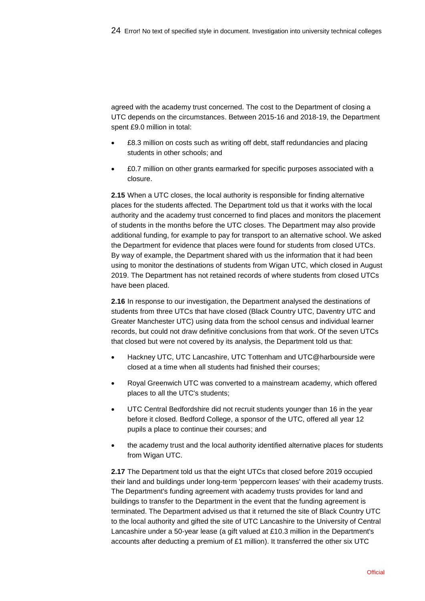agreed with the academy trust concerned. The cost to the Department of closing a UTC depends on the circumstances. Between 2015-16 and 2018-19, the Department spent £9.0 million in total:

- £8.3 million on costs such as writing off debt, staff redundancies and placing students in other schools; and
- £0.7 million on other grants earmarked for specific purposes associated with a closure.

**2.15** When a UTC closes, the local authority is responsible for finding alternative places for the students affected. The Department told us that it works with the local authority and the academy trust concerned to find places and monitors the placement of students in the months before the UTC closes. The Department may also provide additional funding, for example to pay for transport to an alternative school. We asked the Department for evidence that places were found for students from closed UTCs. By way of example, the Department shared with us the information that it had been using to monitor the destinations of students from Wigan UTC, which closed in August 2019. The Department has not retained records of where students from closed UTCs have been placed.

**2.16** In response to our investigation, the Department analysed the destinations of students from three UTCs that have closed (Black Country UTC, Daventry UTC and Greater Manchester UTC) using data from the school census and individual learner records, but could not draw definitive conclusions from that work. Of the seven UTCs that closed but were not covered by its analysis, the Department told us that:

- Hackney UTC, UTC Lancashire, UTC Tottenham and UTC@harbourside were closed at a time when all students had finished their courses;
- Royal Greenwich UTC was converted to a mainstream academy, which offered places to all the UTC's students;
- UTC Central Bedfordshire did not recruit students younger than 16 in the year before it closed. Bedford College, a sponsor of the UTC, offered all year 12 pupils a place to continue their courses; and
- the academy trust and the local authority identified alternative places for students from Wigan UTC.

**2.17** The Department told us that the eight UTCs that closed before 2019 occupied their land and buildings under long-term 'peppercorn leases' with their academy trusts. The Department's funding agreement with academy trusts provides for land and buildings to transfer to the Department in the event that the funding agreement is terminated. The Department advised us that it returned the site of Black Country UTC to the local authority and gifted the site of UTC Lancashire to the University of Central Lancashire under a 50-year lease (a gift valued at £10.3 million in the Department's accounts after deducting a premium of £1 million). It transferred the other six UTC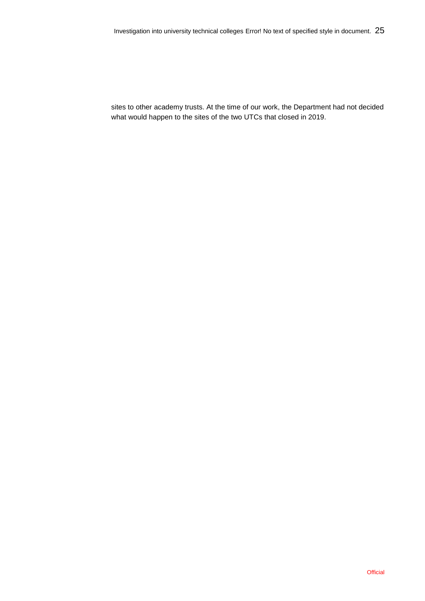sites to other academy trusts. At the time of our work, the Department had not decided what would happen to the sites of the two UTCs that closed in 2019.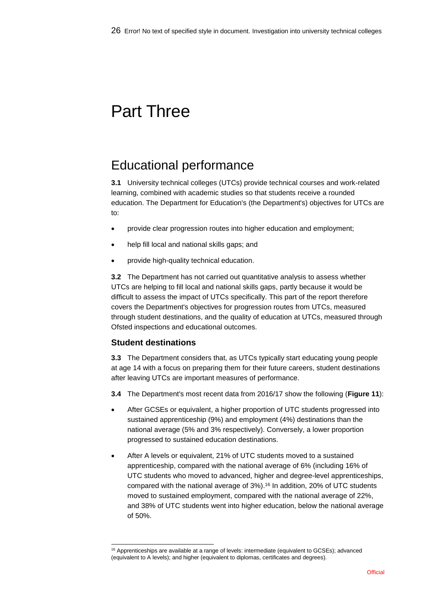# Part Three

## Educational performance

**3.1** University technical colleges (UTCs) provide technical courses and work-related learning, combined with academic studies so that students receive a rounded education. The Department for Education's (the Department's) objectives for UTCs are to:

- provide clear progression routes into higher education and employment;
- help fill local and national skills gaps; and
- provide high-quality technical education.

**3.2** The Department has not carried out quantitative analysis to assess whether UTCs are helping to fill local and national skills gaps, partly because it would be difficult to assess the impact of UTCs specifically. This part of the report therefore covers the Department's objectives for progression routes from UTCs, measured through student destinations, and the quality of education at UTCs, measured through Ofsted inspections and educational outcomes.

### **Student destinations**

l

**3.3** The Department considers that, as UTCs typically start educating young people at age 14 with a focus on preparing them for their future careers, student destinations after leaving UTCs are important measures of performance.

- **3.4** The Department's most recent data from 2016/17 show the following (**Figure 11**):
- After GCSEs or equivalent, a higher proportion of UTC students progressed into sustained apprenticeship (9%) and employment (4%) destinations than the national average (5% and 3% respectively). Conversely, a lower proportion progressed to sustained education destinations.
- After A levels or equivalent, 21% of UTC students moved to a sustained apprenticeship, compared with the national average of 6% (including 16% of UTC students who moved to advanced, higher and degree-level apprenticeships, compared with the national average of 3%). <sup>16</sup> In addition, 20% of UTC students moved to sustained employment, compared with the national average of 22%, and 38% of UTC students went into higher education, below the national average of 50%.

<sup>16</sup> Apprenticeships are available at a range of levels: intermediate (equivalent to GCSEs); advanced (equivalent to A levels); and higher (equivalent to diplomas, certificates and degrees).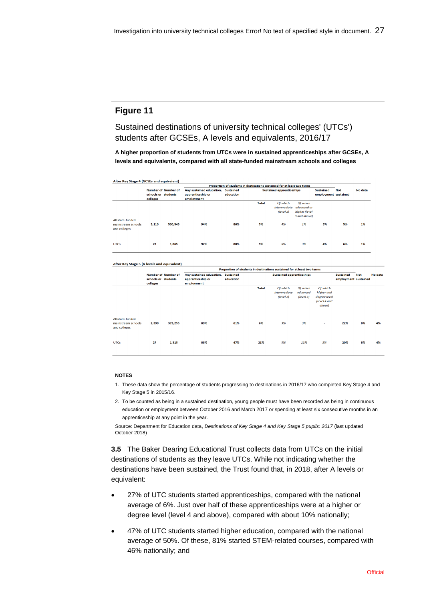Sustained destinations of university technical colleges' (UTCs') students after GCSEs, A levels and equivalents, 2016/17

**A higher proportion of students from UTCs were in sustained apprenticeships after GCSEs, A levels and equivalents, compared with all state-funded mainstream schools and colleges**

| After Key Stage 4 (GCSEs and equivalent)               |          |                            |                          |                                                                         |              |                                              |                                                          |                      |            |         |
|--------------------------------------------------------|----------|----------------------------|--------------------------|-------------------------------------------------------------------------|--------------|----------------------------------------------|----------------------------------------------------------|----------------------|------------|---------|
|                                                        |          |                            |                          | Proportion of students in destinations sustained for at least two terms |              |                                              |                                                          |                      |            |         |
|                                                        |          | <b>Number of Number of</b> | Any sustained education, | <b>Sustained</b>                                                        |              | <b>Sustained apprenticeships</b>             |                                                          | <b>Sustained</b>     | <b>Not</b> | No data |
|                                                        |          | schools or students        | apprenticeship or        | education                                                               |              |                                              |                                                          | employment sustained |            |         |
|                                                        | colleges |                            | employment               |                                                                         |              |                                              |                                                          |                      |            |         |
|                                                        |          |                            |                          |                                                                         | <b>Total</b> | Of which<br><i>intermediate</i><br>(level 2) | Of which<br>advanced or<br>higher (level<br>3 and above) |                      |            |         |
| All state-funded<br>mainstream schools<br>and colleges | 3,113    | 530,545                    | 94%                      | 86%                                                                     | 5%           | 4%                                           | 1%                                                       | 3%                   | 5%         | 1%      |
| <b>UTCs</b>                                            | 28       | 1,865                      | 92%                      | 80%                                                                     | 9%           | 6%                                           | 3%                                                       | 4%                   | 6%         | 1%      |

#### After Key Stage 5 (A levels and equivalent)

|                                                        |                                 |                            | Proportion of students in destinations sustained for at least two terms |                               |              |                                              |                                   |                                                                  |                                          |     |         |
|--------------------------------------------------------|---------------------------------|----------------------------|-------------------------------------------------------------------------|-------------------------------|--------------|----------------------------------------------|-----------------------------------|------------------------------------------------------------------|------------------------------------------|-----|---------|
|                                                        | schools or students<br>colleges | <b>Number of Number of</b> | Any sustained education,<br>apprenticeship or<br>employment             | <b>Sustained</b><br>education |              | <b>Sustained apprenticeships</b>             |                                   |                                                                  | <b>Sustained</b><br>employment sustained | Not | No data |
|                                                        |                                 |                            |                                                                         |                               | <b>Total</b> | Of which<br><i>intermediate</i><br>(level 2) | Of which<br>advanced<br>(level 3) | Of which<br>higher and<br>degree level<br>(level 4 and<br>above) |                                          |     |         |
| All state-funded<br>mainstream schools<br>and colleges | 2,399                           | 372,255                    | 89%                                                                     | 61%                           | 6%           | 3%                                           | 3%                                | $\sim$                                                           | 22%                                      | 8%  | 4%      |
| <b>UTCs</b>                                            | 27                              | 1,315                      | 88%                                                                     | 47%                           | 21%          | 5%                                           | 13%                               | 3%                                                               | 20%                                      | 8%  | 4%      |

#### **NOTES**

- 1. These data show the percentage of students progressing to destinations in 2016/17 who completed Key Stage 4 and Key Stage 5 in 2015/16.
- 2. To be counted as being in a sustained destination, young people must have been recorded as being in continuous education or employment between October 2016 and March 2017 or spending at least six consecutive months in an apprenticeship at any point in the year.

Source: Department for Education data, *Destinations of Key Stage 4 and Key Stage 5 pupils: 2017* (last updated October 2018)

**3.5** The Baker Dearing Educational Trust collects data from UTCs on the initial destinations of students as they leave UTCs. While not indicating whether the destinations have been sustained, the Trust found that, in 2018, after A levels or equivalent:

- 27% of UTC students started apprenticeships, compared with the national average of 6%. Just over half of these apprenticeships were at a higher or degree level (level 4 and above), compared with about 10% nationally;
- 47% of UTC students started higher education, compared with the national average of 50%. Of these, 81% started STEM-related courses, compared with 46% nationally; and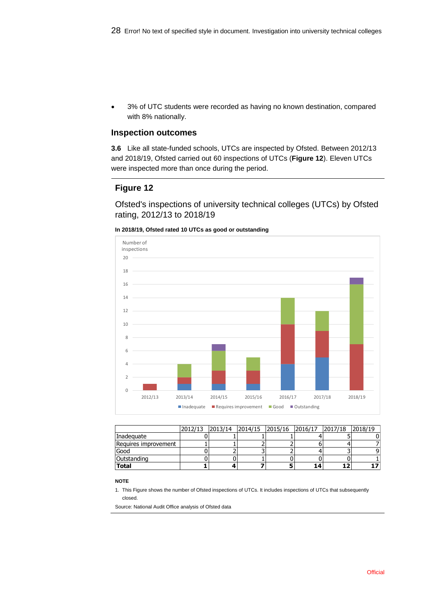• 3% of UTC students were recorded as having no known destination, compared with 8% nationally.

#### **Inspection outcomes**

**3.6** Like all state-funded schools, UTCs are inspected by Ofsted. Between 2012/13 and 2018/19, Ofsted carried out 60 inspections of UTCs (**Figure 12**). Eleven UTCs were inspected more than once during the period.

### **Figure 12**

Ofsted's inspections of university technical colleges (UTCs) by Ofsted rating, 2012/13 to 2018/19





|                      | 2012/13  2013/14  2014/15  2015/16  2016/17  2017/18  2018/19 |  |  |  |
|----------------------|---------------------------------------------------------------|--|--|--|
| Inadeguate           |                                                               |  |  |  |
| Requires improvement |                                                               |  |  |  |
| Good                 |                                                               |  |  |  |
| <b>Outstanding</b>   |                                                               |  |  |  |
| <b>Total</b>         |                                                               |  |  |  |

#### **NOTE**

1. This Figure shows the number of Ofsted inspections of UTCs. It includes inspections of UTCs that subsequently closed.

Source: National Audit Office analysis of Ofsted data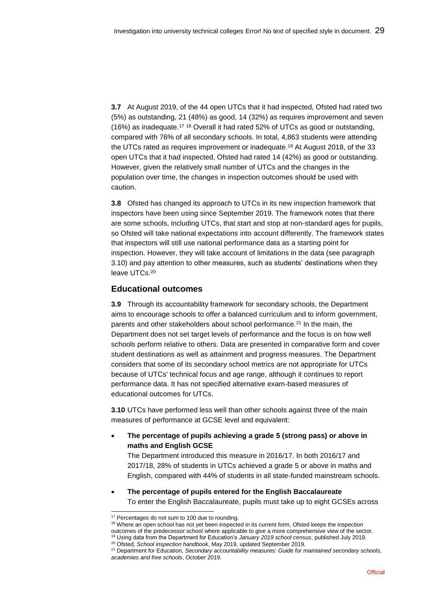**3.7** At August 2019, of the 44 open UTCs that it had inspected, Ofsted had rated two (5%) as outstanding, 21 (48%) as good, 14 (32%) as requires improvement and seven (16%) as inadequate.<sup>17</sup> <sup>18</sup> Overall it had rated 52% of UTCs as good or outstanding, compared with 76% of all secondary schools. In total, 4,863 students were attending the UTCs rated as requires improvement or inadequate. <sup>19</sup> At August 2018, of the 33 open UTCs that it had inspected, Ofsted had rated 14 (42%) as good or outstanding. However, given the relatively small number of UTCs and the changes in the population over time, the changes in inspection outcomes should be used with caution.

**3.8** Ofsted has changed its approach to UTCs in its new inspection framework that inspectors have been using since September 2019. The framework notes that there are some schools, including UTCs, that start and stop at non-standard ages for pupils, so Ofsted will take national expectations into account differently. The framework states that inspectors will still use national performance data as a starting point for inspection. However, they will take account of limitations in the data (see paragraph 3.10) and pay attention to other measures, such as students' destinations when they leave UTCs. 20

### **Educational outcomes**

**3.9** Through its accountability framework for secondary schools, the Department aims to encourage schools to offer a balanced curriculum and to inform government, parents and other stakeholders about school performance.<sup>21</sup> In the main, the Department does not set target levels of performance and the focus is on how well schools perform relative to others. Data are presented in comparative form and cover student destinations as well as attainment and progress measures. The Department considers that some of its secondary school metrics are not appropriate for UTCs because of UTCs' technical focus and age range, although it continues to report performance data. It has not specified alternative exam-based measures of educational outcomes for UTCs.

**3.10** UTCs have performed less well than other schools against three of the main measures of performance at GCSE level and equivalent:

• **The percentage of pupils achieving a grade 5 (strong pass) or above in maths and English GCSE**

The Department introduced this measure in 2016/17. In both 2016/17 and 2017/18, 28% of students in UTCs achieved a grade 5 or above in maths and English, compared with 44% of students in all state-funded mainstream schools.

• **The percentage of pupils entered for the English Baccalaureate** To enter the English Baccalaureate, pupils must take up to eight GCSEs across

l

<sup>&</sup>lt;sup>17</sup> Percentages do not sum to 100 due to rounding.

<sup>&</sup>lt;sup>18</sup> Where an open school has not yet been inspected in its current form, Ofsted keeps the inspection outcomes of the predecessor school where applicable to give a more comprehensive view of the sector. <sup>19</sup> Using data from the Department for Education's *January 2019 school census*, published July 2019.

<sup>20</sup> Ofsted, *School inspection handbook*, May 2019, updated September 2019.

<sup>21</sup> Department for Education*, Secondary accountability measures: Guide for maintained secondary schools, academies and free schools*, October 2019.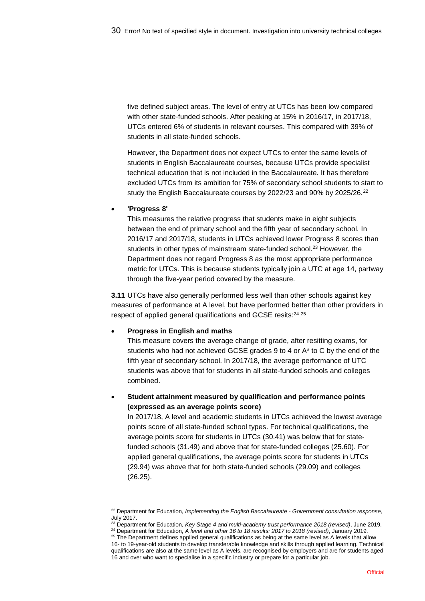five defined subject areas. The level of entry at UTCs has been low compared with other state-funded schools. After peaking at 15% in 2016/17, in 2017/18, UTCs entered 6% of students in relevant courses. This compared with 39% of students in all state-funded schools.

However, the Department does not expect UTCs to enter the same levels of students in English Baccalaureate courses, because UTCs provide specialist technical education that is not included in the Baccalaureate. It has therefore excluded UTCs from its ambition for 75% of secondary school students to start to study the English Baccalaureate courses by 2022/23 and 90% by 2025/26.<sup>22</sup>

#### • **'Progress 8'**

l

This measures the relative progress that students make in eight subjects between the end of primary school and the fifth year of secondary school. In 2016/17 and 2017/18, students in UTCs achieved lower Progress 8 scores than students in other types of mainstream state-funded school.<sup>23</sup> However, the Department does not regard Progress 8 as the most appropriate performance metric for UTCs. This is because students typically join a UTC at age 14, partway through the five-year period covered by the measure.

**3.11** UTCs have also generally performed less well than other schools against key measures of performance at A level, but have performed better than other providers in respect of applied general qualifications and GCSE resits: 24 25

#### • **Progress in English and maths**

This measure covers the average change of grade, after resitting exams, for students who had not achieved GCSE grades 9 to 4 or A\* to C by the end of the fifth year of secondary school. In 2017/18, the average performance of UTC students was above that for students in all state-funded schools and colleges combined.

### • **Student attainment measured by qualification and performance points (expressed as an average points score)**

In 2017/18, A level and academic students in UTCs achieved the lowest average points score of all state-funded school types. For technical qualifications, the average points score for students in UTCs (30.41) was below that for statefunded schools (31.49) and above that for state-funded colleges (25.60). For applied general qualifications, the average points score for students in UTCs (29.94) was above that for both state-funded schools (29.09) and colleges (26.25).

<sup>22</sup> Department for Education, *Implementing the English Baccalaureate - Government consultation response*, July 2017.

<sup>23</sup> Department for Education, *Key Stage 4 and multi-academy trust performance 2018 (revised)*, June 2019. <sup>24</sup> Department for Education, *A level and other 16 to 18 results: 2017 to 2018 (revised)*, January 2019.

<sup>&</sup>lt;sup>25</sup> The Department defines applied general qualifications as being at the same level as A levels that allow 16- to 19-year-old students to develop transferable knowledge and skills through applied learning. Technical qualifications are also at the same level as A levels, are recognised by employers and are for students aged 16 and over who want to specialise in a specific industry or prepare for a particular job.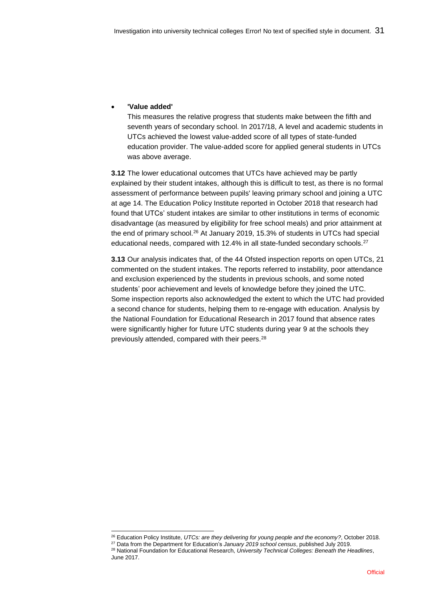#### • **'Value added'**

This measures the relative progress that students make between the fifth and seventh years of secondary school. In 2017/18, A level and academic students in UTCs achieved the lowest value-added score of all types of state-funded education provider. The value-added score for applied general students in UTCs was above average.

**3.12** The lower educational outcomes that UTCs have achieved may be partly explained by their student intakes, although this is difficult to test, as there is no formal assessment of performance between pupils' leaving primary school and joining a UTC at age 14. The Education Policy Institute reported in October 2018 that research had found that UTCs' student intakes are similar to other institutions in terms of economic disadvantage (as measured by eligibility for free school meals) and prior attainment at the end of primary school.<sup>26</sup> At January 2019, 15.3% of students in UTCs had special educational needs, compared with 12.4% in all state-funded secondary schools.<sup>27</sup>

**3.13** Our analysis indicates that, of the 44 Ofsted inspection reports on open UTCs, 21 commented on the student intakes. The reports referred to instability, poor attendance and exclusion experienced by the students in previous schools, and some noted students' poor achievement and levels of knowledge before they joined the UTC. Some inspection reports also acknowledged the extent to which the UTC had provided a second chance for students, helping them to re-engage with education. Analysis by the National Foundation for Educational Research in 2017 found that absence rates were significantly higher for future UTC students during year 9 at the schools they previously attended, compared with their peers.<sup>28</sup>

l <sup>26</sup> Education Policy Institute, *UTCs: are they delivering for young people and the economy?*, October 2018.

<sup>27</sup> Data from the Department for Education's *January 2019 school census*, published July 2019.

<sup>28</sup> National Foundation for Educational Research, *University Technical Colleges: Beneath the Headlines*, June 2017.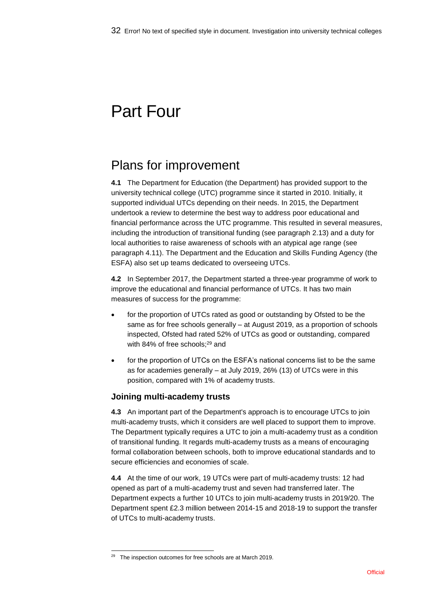# Part Four

## Plans for improvement

**4.1** The Department for Education (the Department) has provided support to the university technical college (UTC) programme since it started in 2010. Initially, it supported individual UTCs depending on their needs. In 2015, the Department undertook a review to determine the best way to address poor educational and financial performance across the UTC programme. This resulted in several measures, including the introduction of transitional funding (see paragraph 2.13) and a duty for local authorities to raise awareness of schools with an atypical age range (see paragraph 4.11). The Department and the Education and Skills Funding Agency (the ESFA) also set up teams dedicated to overseeing UTCs.

**4.2** In September 2017, the Department started a three-year programme of work to improve the educational and financial performance of UTCs. It has two main measures of success for the programme:

- for the proportion of UTCs rated as good or outstanding by Ofsted to be the same as for free schools generally – at August 2019, as a proportion of schools inspected, Ofsted had rated 52% of UTCs as good or outstanding, compared with 84% of free schools; <sup>29</sup> and
- for the proportion of UTCs on the ESFA's national concerns list to be the same as for academies generally – at July 2019, 26% (13) of UTCs were in this position, compared with 1% of academy trusts.

## **Joining multi-academy trusts**

**4.3** An important part of the Department's approach is to encourage UTCs to join multi-academy trusts, which it considers are well placed to support them to improve. The Department typically requires a UTC to join a multi-academy trust as a condition of transitional funding. It regards multi-academy trusts as a means of encouraging formal collaboration between schools, both to improve educational standards and to secure efficiencies and economies of scale.

**4.4** At the time of our work, 19 UTCs were part of multi-academy trusts: 12 had opened as part of a multi-academy trust and seven had transferred later. The Department expects a further 10 UTCs to join multi-academy trusts in 2019/20. The Department spent £2.3 million between 2014-15 and 2018-19 to support the transfer of UTCs to multi-academy trusts.

l

<sup>&</sup>lt;sup>29</sup> The inspection outcomes for free schools are at March 2019.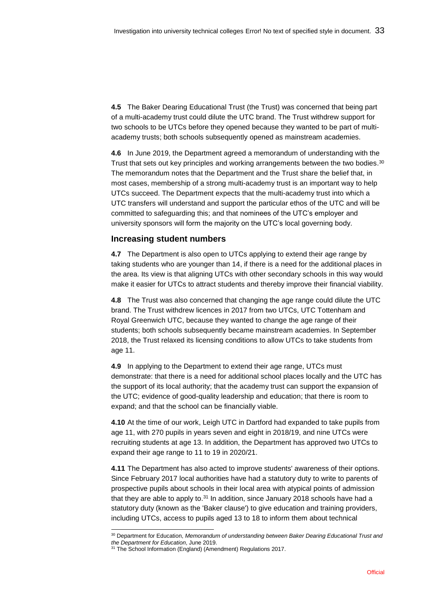**4.5** The Baker Dearing Educational Trust (the Trust) was concerned that being part of a multi-academy trust could dilute the UTC brand. The Trust withdrew support for two schools to be UTCs before they opened because they wanted to be part of multiacademy trusts; both schools subsequently opened as mainstream academies.

**4.6** In June 2019, the Department agreed a memorandum of understanding with the Trust that sets out key principles and working arrangements between the two bodies.<sup>30</sup> The memorandum notes that the Department and the Trust share the belief that, in most cases, membership of a strong multi-academy trust is an important way to help UTCs succeed. The Department expects that the multi-academy trust into which a UTC transfers will understand and support the particular ethos of the UTC and will be committed to safeguarding this; and that nominees of the UTC's employer and university sponsors will form the majority on the UTC's local governing body.

#### **Increasing student numbers**

**4.7** The Department is also open to UTCs applying to extend their age range by taking students who are younger than 14, if there is a need for the additional places in the area. Its view is that aligning UTCs with other secondary schools in this way would make it easier for UTCs to attract students and thereby improve their financial viability.

**4.8** The Trust was also concerned that changing the age range could dilute the UTC brand. The Trust withdrew licences in 2017 from two UTCs, UTC Tottenham and Royal Greenwich UTC, because they wanted to change the age range of their students; both schools subsequently became mainstream academies. In September 2018, the Trust relaxed its licensing conditions to allow UTCs to take students from age 11.

**4.9** In applying to the Department to extend their age range, UTCs must demonstrate: that there is a need for additional school places locally and the UTC has the support of its local authority; that the academy trust can support the expansion of the UTC; evidence of good-quality leadership and education; that there is room to expand; and that the school can be financially viable.

**4.10** At the time of our work, Leigh UTC in Dartford had expanded to take pupils from age 11, with 270 pupils in years seven and eight in 2018/19, and nine UTCs were recruiting students at age 13. In addition, the Department has approved two UTCs to expand their age range to 11 to 19 in 2020/21.

**4.11** The Department has also acted to improve students' awareness of their options. Since February 2017 local authorities have had a statutory duty to write to parents of prospective pupils about schools in their local area with atypical points of admission that they are able to apply to.<sup>31</sup> In addition, since January 2018 schools have had a statutory duty (known as the 'Baker clause') to give education and training providers, including UTCs, access to pupils aged 13 to 18 to inform them about technical

l <sup>30</sup> Department for Education, *Memorandum of understanding between Baker Dearing Educational Trust and the Department for Education*, June 2019.

<sup>&</sup>lt;sup>31</sup> The School Information (England) (Amendment) Regulations 2017.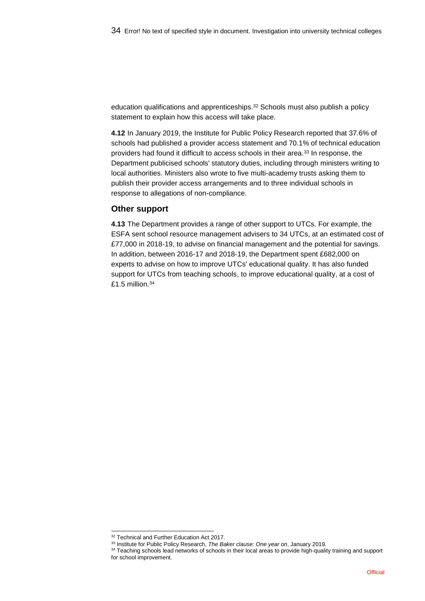education qualifications and apprenticeships.<sup>32</sup> Schools must also publish a policy statement to explain how this access will take place.

**4.12** In January 2019, the Institute for Public Policy Research reported that 37.6% of schools had published a provider access statement and 70.1% of technical education providers had found it difficult to access schools in their area.<sup>33</sup> In response, the Department publicised schools' statutory duties, including through ministers writing to local authorities. Ministers also wrote to five multi-academy trusts asking them to publish their provider access arrangements and to three individual schools in response to allegations of non-compliance.

#### **Other support**

**4.13** The Department provides a range of other support to UTCs. For example, the ESFA sent school resource management advisers to 34 UTCs, at an estimated cost of £77,000 in 2018-19, to advise on financial management and the potential for savings. In addition, between 2016-17 and 2018-19, the Department spent £682,000 on experts to advise on how to improve UTCs' educational quality. It has also funded support for UTCs from teaching schools, to improve educational quality, at a cost of  $£1.5$  million. $34$ 

l <sup>32</sup> Technical and Further Education Act 2017.

<sup>33</sup> Institute for Public Policy Research, *The Baker clause: One year on*, January 2019.

<sup>34</sup> Teaching schools lead networks of schools in their local areas to provide high-quality training and support for school improvement.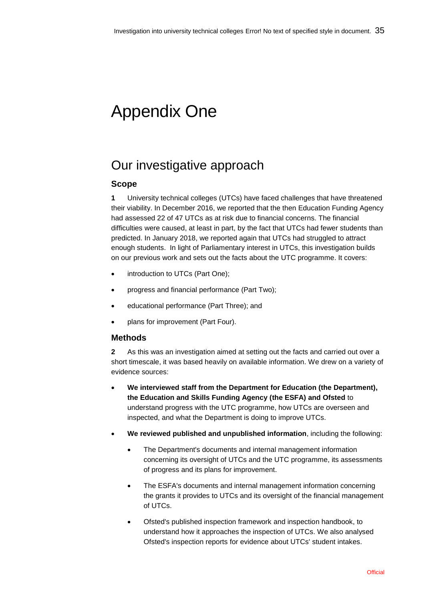# Appendix One

## Our investigative approach

## **Scope**

**1** University technical colleges (UTCs) have faced challenges that have threatened their viability. In December 2016, we reported that the then Education Funding Agency had assessed 22 of 47 UTCs as at risk due to financial concerns. The financial difficulties were caused, at least in part, by the fact that UTCs had fewer students than predicted. In January 2018, we reported again that UTCs had struggled to attract enough students. In light of Parliamentary interest in UTCs, this investigation builds on our previous work and sets out the facts about the UTC programme. It covers:

- introduction to UTCs (Part One);
- progress and financial performance (Part Two);
- educational performance (Part Three); and
- plans for improvement (Part Four).

## **Methods**

**2** As this was an investigation aimed at setting out the facts and carried out over a short timescale, it was based heavily on available information. We drew on a variety of evidence sources:

- **We interviewed staff from the Department for Education (the Department), the Education and Skills Funding Agency (the ESFA) and Ofsted** to understand progress with the UTC programme, how UTCs are overseen and inspected, and what the Department is doing to improve UTCs.
- **We reviewed published and unpublished information**, including the following:
	- The Department's documents and internal management information concerning its oversight of UTCs and the UTC programme, its assessments of progress and its plans for improvement.
	- The ESFA's documents and internal management information concerning the grants it provides to UTCs and its oversight of the financial management of UTCs.
	- Ofsted's published inspection framework and inspection handbook, to understand how it approaches the inspection of UTCs. We also analysed Ofsted's inspection reports for evidence about UTCs' student intakes.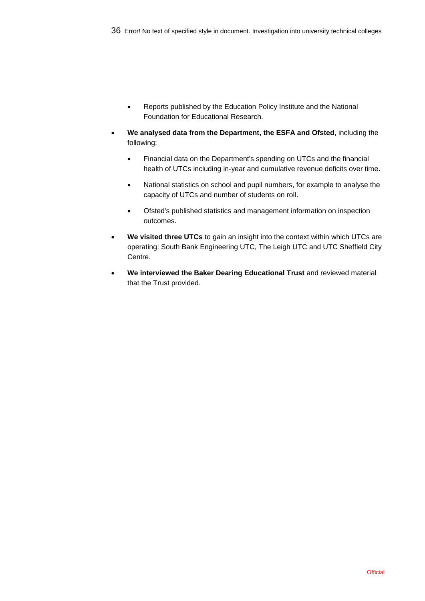- Reports published by the Education Policy Institute and the National Foundation for Educational Research.
- **We analysed data from the Department, the ESFA and Ofsted**, including the following:
	- Financial data on the Department's spending on UTCs and the financial health of UTCs including in-year and cumulative revenue deficits over time.
	- National statistics on school and pupil numbers, for example to analyse the capacity of UTCs and number of students on roll.
	- Ofsted's published statistics and management information on inspection outcomes.
- **We visited three UTCs** to gain an insight into the context within which UTCs are operating: South Bank Engineering UTC, The Leigh UTC and UTC Sheffield City Centre.
- **We interviewed the Baker Dearing Educational Trust** and reviewed material that the Trust provided.